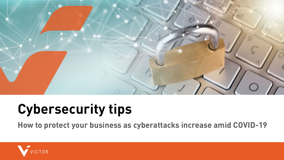

# **Cybersecurity tips**

**How to protect your business as cyberattacks increase amid COVID-19**

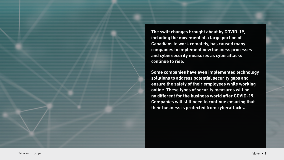**The swift changes brought about by COVID-19, including the movement of a large portion of Canadians to work remotely, has caused many companies to implement new business processes and cybersecurity measures as cyberattacks continue to rise.** 

**Some companies have even implemented technology solutions to address potential security gaps and ensure the safety of their employees while working online. These types of security measures will be no different for the business world after COVID-19. Companies will still need to continue ensuring that their business is protected from cyberattacks.**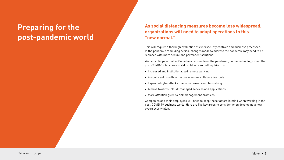## **Preparing for the post-pandemic world**

## **As social distancing measures become less widespread, organizations will need to adapt operations to this "new normal."**

This will require a thorough evaluation of cybersecurity controls and business processes. In the pandemic rebuilding period, changes made to address the pandemic may need to be replaced with more secure and permanent solutions.

We can anticipate that as Canadians recover from the pandemic, on the technology front, the post-COVID-19 business world could look something like this:

- Increased and institutionalized remote working
- A significant growth in the use of online collaborative tools
- Expanded cyberattacks due to increased remote working
- A move towards "cloud" managed services and applications
- More attention given to risk management practices

Companies and their employees will need to keep these factors in mind when working in the post-COVID 19 business world. Here are five key areas to consider when developing a new cybersecurity plan.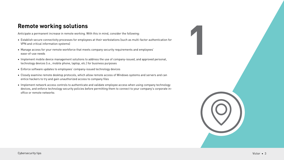Anticipate a permanent increase in remote working. With this in mind, consider the following:

- **1 Remote working solutions**<br>
Anticipate a permanent increase in remote working. With this in mind, consider the following:<br>
 Establish secure connectivity processes for employees at their workstations (such as multi-fact • Establish secure connectivity processes for employees at their workstations (such as multi-factor authentication for VPN and critical information systems)
- Manage access for your remote workforce that meets company security requirements and employees' ease-of-use needs
- Implement mobile device management solutions to address the use of company-issued, and approved personal, technology devices (i.e., mobile phone, laptop, etc.) for business purposes
- Enforce software updates to employees' company-issued technology devices
- Closely examine remote desktop protocols, which allow remote access of Windows systems and servers and can entice hackers to try and gain unauthorized access to company files
- Implement network access controls to authenticate and validate employee access when using company technology devices, and enforce technology security policies before permitting them to connect to your company's corporate inoffice or remote networks

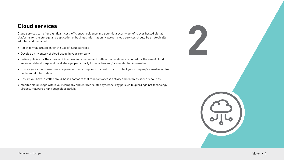**2 Cloud services**<br> **2 Cloud** services can offer significant cost, efficiency, resilience and potential security benefits over hosted digital<br>
platforms for the storage and application of business information. However, Cloud services can offer significant cost, efficiency, resilience and potential security benefits over hosted digital platforms for the storage and application of business information. However, cloud services should be strategically adopted and managed.

- Adopt formal strategies for the use of cloud services
- Develop an inventory of cloud usage in your company
- Define policies for the storage of business information and outline the conditions required for the use of cloud services, data storage and local storage, particularly for sensitive and/or confidential information
- Ensure your cloud-based service provider has strong security protocols to protect your company's sensitive and/or confidential information
- Ensure you have installed cloud-based software that monitors access activity and enforces security policies
- Monitor cloud usage within your company and enforce related cybersecurity policies to guard against technology viruses, malware or any suspicious activity

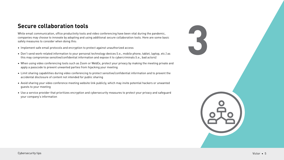**Secure collaboration tools**<br>
While email communication, office productivity tools and video conferencing have been vital during the pandemic,<br>
companies may choose to innovate by adopting and using additional secure colla While email communication, office productivity tools and video conferencing have been vital during the pandemic, companies may choose to innovate by adopting and using additional secure collaboration tools. Here are some basic safety measures to consider when doing this:

- Implement safe email protocols and encryption to protect against unauthorized access
- Don't send work-related information to your personal technology devices (i.e., mobile phone, tablet, laptop, etc.) as this may compromise sensitive/confidential information and expose it to cybercriminals (i.e., bad actors)
- When using video conferencing tools such as Zoom or WebEx, protect your privacy by making the meeting private and apply a passcode to prevent unwanted parties from hijacking your meeting
- Limit sharing capabilities during video conferencing to protect sensitive/confidential information and to prevent the accidental disclosure of content not intended for public sharing
- Avoid sharing your video conference meeting website link publicly, which may invite potential hackers or unwanted guests to your meeting
- Use a service provider that prioritizes encryption and cybersecurity measures to protect your privacy and safeguard your company's information

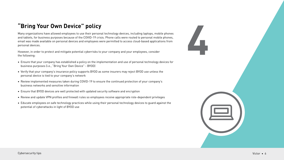**4 Bring Your Own Device" policy**<br>Many organizations have allowed employees to use their personal technology devices, including laptops, mobile phones<br>and tablets, for business purposes because of the COVID-19 crisis. Phon Many organizations have allowed employees to use their personal technology devices, including laptops, mobile phones and tablets, for business purposes because of the COVID-19 crisis. Phone calls were routed to personal mobile phones, email was made available on personal devices and employees were permitted to access cloud-based applications from personal devices.

However, in order to protect and mitigate potential cyberrisks to your company and your employees, consider the following:

- Ensure that your company has established a policy on the implementation and use of personal technology devices for business purposes (i.e., "Bring Your Own Device" - BYOD)
- Verify that your company's insurance policy supports BYOD as some insurers may reject BYOD use unless the personal device is tied to your company's network
- Review implemented measures taken during COVID-19 to ensure the continued protection of your company's business networks and sensitive information
- Ensure that BYOD devices are well protected with updated security software and encryption
- Review and update VPN profiles and firewall rules so employees receive appropriate role-dependent privileges
- Educate employees on safe technology practices while using their personal technology devices to guard against the potential of cyberattacks in light of BYOD use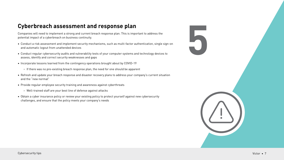Companies will need to implement a strong and current breach response plan. This is important to address the potential impact of a cyberbreach on business continuity.

- **Cyberbreach assessment and response plan**<br>
Companies will need to implement a strong and current breach response plan. This is important to address the<br>
potential impact of a cyberbreach on business continuity.<br>
 Conduct • Conduct a risk assessment and implement security mechanisms, such as multi-factor authentication, single sign-on and automatic logout from unattended devices
- Conduct regular cybersecurity audits and vulnerability tests of your computer systems and technology devices to assess, identify and correct security weaknesses and gaps
- Incorporate lessons learned from the contingency operations brought about by COVID-19
	- › If there was no pre-existing breach response plan, the need for one should be apparent
- Refresh and update your breach response and disaster recovery plans to address your company's current situation and the "new normal"
- Provide regular employee security training and awareness against cyberthreats
	- › Well-trained staff are your best line of defense against attacks
- Obtain a cyber insurance policy or review your existing policy to protect yourself against new cybersecurity challenges, and ensure that the policy meets your company's needs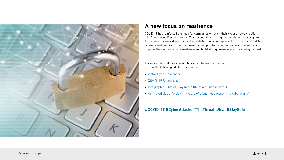

## **A new focus on resilience**

COVID-19 has reinforced the need for companies to revisit their cyber strategy to align with "new normal" requirements. This recent crisis has highlighted the need to prepare for serious business disruption and establish sound contingency plans. The post-COVID-19 recovery and preparation period presents the opportunity for companies to rebuild and improve their organizations' resilience and build strong business practices going forward.

For more information and insights, visit [victorinsurance.ca](https://www.victorinsurance.ca) or view the following additional resources:

- [Victor Cyber Insurance](https://www.victorinsurance.ca/en/pl/solutions/coverage/cyber.html)
- [COVID-19 Resources](https://engage.ca.victorinsurance.com/acton/media/38839/covid-19-resources)
- [Infographic: "Typical day in the life of a business owner"](https://www.victorinsurance.ca/content/dam/victor/canada/documents/english/infographics/DayintheLife_BusOwner_Infographic_E.pdf)
- [Animated video: "A day in the life of a business owner in a cyberworld"](https://player.vimeo.com/video/405604743?autoplay=1)

### **#COVID-19 #CyberAttacks #TheThreatIsReal #StaySafe**